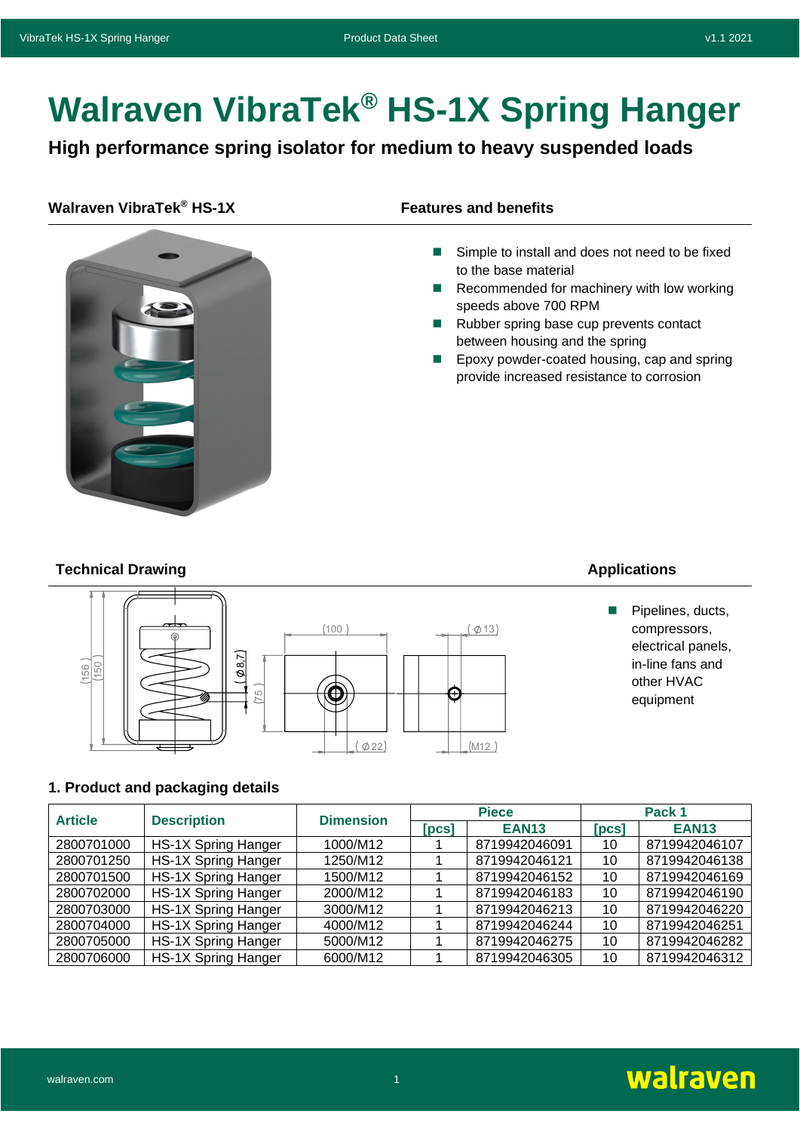# **Walraven VibraTek® HS-1X Spring Hanger**

**High performance spring isolator for medium to heavy suspended loads**

# **Walraven VibraTek<sup>®</sup> HS-1X Features and benefits**



- Simple to install and does not need to be fixed to the base material
- Recommended for machinery with low working speeds above 700 RPM
- Rubber spring base cup prevents contact between housing and the spring
- ◼ Epoxy powder-coated housing, cap and spring provide increased resistance to corrosion

# **Technical Drawing Applications Applications**



■ Pipelines, ducts, compressors, electrical panels, in-line fans and other HVAC equipment

# **1. Product and packaging details**

| <b>Article</b> | <b>Description</b>         | <b>Dimension</b> |                              | <b>Piece</b>  | Pack 1         |               |
|----------------|----------------------------|------------------|------------------------------|---------------|----------------|---------------|
|                |                            |                  | $\lceil \mathsf{pcs} \rceil$ | <b>EAN13</b>  | [ <b>pcs</b> ] | <b>EAN13</b>  |
| 2800701000     | HS-1X Spring Hanger        | 1000/M12         |                              | 8719942046091 | 10             | 8719942046107 |
| 2800701250     | <b>HS-1X Spring Hanger</b> | 1250/M12         |                              | 8719942046121 | 10             | 8719942046138 |
| 2800701500     | <b>HS-1X Spring Hanger</b> | 1500/M12         |                              | 8719942046152 | 10             | 8719942046169 |
| 2800702000     | <b>HS-1X Spring Hanger</b> | 2000/M12         |                              | 8719942046183 | 10             | 8719942046190 |
| 2800703000     | <b>HS-1X Spring Hanger</b> | 3000/M12         |                              | 8719942046213 | 10             | 8719942046220 |
| 2800704000     | <b>HS-1X Spring Hanger</b> | 4000/M12         |                              | 8719942046244 | 10             | 8719942046251 |
| 2800705000     | <b>HS-1X Spring Hanger</b> | 5000/M12         |                              | 8719942046275 | 10             | 8719942046282 |
| 2800706000     | <b>HS-1X Spring Hanger</b> | 6000/M12         |                              | 8719942046305 | 10             | 8719942046312 |